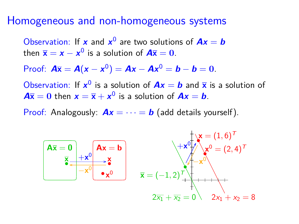#### Homogeneous and non-homogeneous systems

Observation: If **x** and  $x^0$  are two solutions of  $Ax = b$ then  $\bar{\mathbf{x}} = \mathbf{x} - \mathbf{x}^0$  is a solution of  $\mathbf{A}\bar{\mathbf{x}} = \mathbf{0}$ .

Proof:  $A\bar{x} = A(x - x^0) = Ax - Ax^0 = b - b = 0.$ 

Observation: If  $x^0$  is a solution of  $Ax = b$  and  $\overline{x}$  is a solution of  $A\overline{\mathbf{x}} = 0$  then  $\mathbf{x} = \overline{\mathbf{x}} + \mathbf{x}^0$  is a solution of  $A\mathbf{x} = \mathbf{b}$ .

Proof: Analogously:  $Ax = \cdots = b$  (add details yourself).

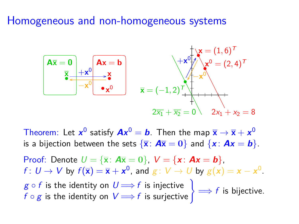## Homogeneous and non-homogeneous systems



Theorem: Let  $x^0$  satisfy  $Ax^0 = b$ . Then the map  $\overline{x} \to \overline{x} + x^0$ is a bijection between the sets  $\{\overline{\mathbf{x}}: \mathbf{A}\overline{\mathbf{x}} = \mathbf{0}\}$  and  $\{\mathbf{x}: \mathbf{A}\mathbf{x} = \mathbf{b}\}$ .

Proof: Denote  $U = {\overline{\mathbf{x}}: \mathbf{A}\overline{\mathbf{x}} = 0}$ ,  $V = {\mathbf{x} : \mathbf{A}\mathbf{x} = \mathbf{b}}$ ,  $f: U \to V$  by  $f(\overline{\mathbf{x}}) = \overline{\mathbf{x}} + \mathbf{x}^0$ , and  $g: V \to U$  by  $g(\mathbf{x}) = \mathbf{x} - \mathbf{x}^0$ .  $g \circ f$  is the identity on  $U \Longrightarrow f$  is injective  $\Big\} \Longrightarrow f$  is bijective.<br> $f \circ g$  is the identity on  $V \Longrightarrow f$  is surjective  $\Big\} \Longrightarrow f$  is bijective.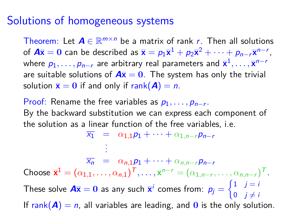#### Solutions of homogeneous systems

Theorem: Let  $A \in \mathbb{R}^{m \times n}$  be a matrix of rank r. Then all solutions of  $A\overline{x} = 0$  can be described as  $\overline{x} = p_1\overline{x}^1 + p_2\overline{x}^2 + \cdots + p_{n-r}\overline{x}^{n-r}$ , where  $p_1,\ldots,p_{n-r}$  are arbitrary real parameters and  $\overline{\mathbf{x}}^1,\ldots,\overline{\mathbf{x}}^{n-r}$ are suitable solutions of  $A\overline{x} = 0$ . The system has only the trivial solution  $\bar{\mathbf{x}} = \mathbf{0}$  if and only if rank( $\mathbf{A}$ ) = n.

Proof: Rename the free variables as  $p_1, \ldots, p_{n-r}$ . By the backward substitution we can express each component of the solution as a linear function of the free variables, i.e.

 $\overline{x_1} = \alpha_{1,1}p_1 + \cdots + \alpha_{1,n-r}p_{n-r}$ . . .  $\overline{x_n}$  =  $\alpha_{n,1}p_1 + \cdots + \alpha_{n,n-r}p_{n-r}$ Choose  $\overline{\mathbf{x}}^1 = (\alpha_{1,1}, \ldots, \alpha_{n,1})^T, \ldots, \overline{\mathbf{x}}^{n-r} = (\alpha_{1,n-r}, \ldots, \alpha_{n,n-r})^T$ . These solve  $A\overline{x} = 0$  as any such  $\overline{x}^i$  comes from:  $p_j = \begin{cases} 1 & j = i \\ 0 & j \neq i \end{cases}$ 0 j $\neq i$ If rank( $A$ ) = n, all variables are leading, and 0 is the only solution.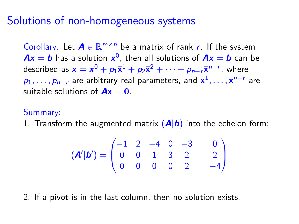## Solutions of non-homogeneous systems

Corollary: Let  $A \in \mathbb{R}^{m \times n}$  be a matrix of rank r. If the system  $Ax = b$  has a solution  $x^0$ , then all solutions of  $Ax = b$  can be described as  $\mathbf{x} = \mathbf{x}^0 + p_1 \overline{\mathbf{x}}^1 + p_2 \overline{\mathbf{x}}^2 + \cdots + p_{n-r} \overline{\mathbf{x}}^{n-r}$ , where  $p_1,\ldots,p_{n-r}$  are arbitrary real parameters, and  $\overline{\mathbf{x}}^1,\ldots,\overline{\mathbf{x}}^{n-r}$  are suitable solutions of  $A\overline{x} = 0$ .

#### Summary:

1. Transform the augmented matrix  $(A|b)$  into the echelon form:

$$
(\mathbf{A}'|\mathbf{b}') = \begin{pmatrix} -1 & 2 & -4 & 0 & -3 & | & 0 \\ 0 & 0 & 1 & 3 & 2 & | & 2 \\ 0 & 0 & 0 & 0 & 2 & | & -4 \end{pmatrix}
$$

2. If a pivot is in the last column, then no solution exists.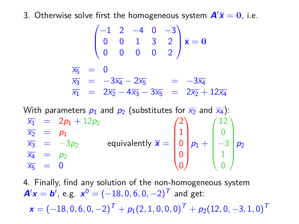3. Otherwise solve first the homogeneous system  $A/\overline{x} = 0$ , i.e.

$$
\begin{pmatrix}\n-1 & 2 & -4 & 0 & -3 \\
0 & 0 & 1 & 3 & 2 \\
0 & 0 & 0 & 0 & 2\n\end{pmatrix} \overline{\mathbf{x}} = \mathbf{0}
$$
  
\n
$$
\overline{x_5} = 0
$$
  
\n
$$
\overline{x_3} = -3\overline{x_4} - 2\overline{x_5} = -3\overline{x_4}
$$
  
\n
$$
\overline{x_1} = 2\overline{x_2} - 4\overline{x_3} - 3\overline{x_5} = 2\overline{x_2} + 12\overline{x_4}
$$

With parameters  $p_1$  and  $p_2$  (substitutes for  $\overline{x_2}$  and  $\overline{x_4}$ ):

 $\overline{x_1}$  = 2 $p_1 + 12p_2$  $\overline{x_2}$  =  $p_1$  $\bar{x}_3 = -3p_2$  $\overline{x_4}$  =  $p_2$  $\overline{x_5}$  = 0 equivalently  $\overline{\mathbf{x}} =$  $\sqrt{ }$  $\overline{\phantom{a}}$ 2 1 0 0 0 <sup>1</sup>  $\begin{array}{c} \hline \end{array}$  $p_1 +$  $\sqrt{ }$  $\overline{\phantom{a}}$ 12 0  $-3$ 1 0 V.  $\begin{array}{c} \hline \end{array}$  $p<sub>2</sub>$ 

4. Finally, find any solution of the non-homogeneous system  $A'x = b'$ , e.g.  $x^0 = (-18, 0, 6, 0, -2)^T$  and get:  $\bm{x} = (-18, 0, 6, 0, -2)^T + p_1(2, 1, 0, 0, 0)^T + p_2(12, 0, -3, 1, 0)^T$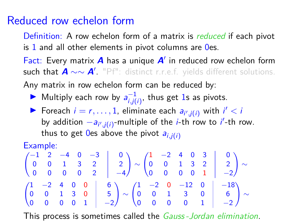## Reduced row echelon form

Definition: A row echelon form of a matrix is reduced if each pivot is 1 and all other elements in pivot columns are 0es.

Fact: Every matrix A has a unique A' in reduced row echelon form such that **A** ∼∼ **A**<sup>0</sup> . "Pf": distinct r.r.e.f. yields different solutions. Any matrix in row echelon form can be reduced by:

Multiply each row by  $a_{i,j}^{-1}$  $\overline{i,j(i)}^{\text{-1}}$ , thus get 1s as pivots.

**Foreach**  $i = r, \ldots, 1$ , eliminate each  $a_{i', j(i)}$  with  $i' < i$ by addition  $-a_{i',j(i)}$ -multiple of the *i*-th row to *i'*-th row. thus to get 0es above the pivot  $a_{i,i(i)}$ 

Example:

$$
\begin{pmatrix} -1 & 2 & -4 & 0 & -3 & | & 0 \\ 0 & 0 & 1 & 3 & 2 & | & 2 \\ 0 & 0 & 0 & 0 & 2 & | & -4 \end{pmatrix} \sim \begin{pmatrix} 1 & -2 & 4 & 0 & 3 & | & 0 \\ 0 & 0 & 1 & 3 & 2 & | & 2 \\ 0 & 0 & 0 & 0 & 1 & | & -2 \end{pmatrix} \sim \begin{pmatrix} 1 & -2 & 0 & -12 & 0 & | & -18 \\ 0 & 0 & 1 & 3 & 0 & | & 6 \\ 0 & 0 & 0 & 0 & 1 & | & -2 \end{pmatrix} \sim \begin{pmatrix} 1 & -2 & 0 & -12 & 0 & | & -18 \\ 0 & 0 & 1 & 3 & 0 & | & 6 \\ 0 & 0 & 0 & 0 & 1 & | & -2 \end{pmatrix} \sim
$$

This process is sometimes called the Gauss -Jordan elimination.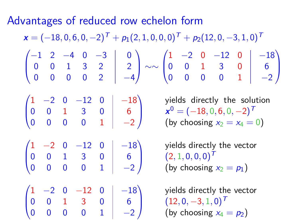Advantages of reduced row echelon form

 $\mathbf{x} = (-18, 0, 6, 0, -2)^T + p_1(2, 1, 0, 0, 0)^T + p_2(12, 0, -3, 1, 0)^T$  $\sqrt{ }$  $\overline{ }$  $-1$  2  $-4$  0  $-3$  0  $0$  0 1 3 2 2 0 0 0 0 2 −4 <sup>1</sup> ∼∼  $\sqrt{ }$  $\overline{\phantom{a}}$  $1 -2 0 -12 0$   $-18$ 0 0 1 3 0 6 0 0 0 0 1 | −2 <sup>1</sup>  $\overline{\phantom{a}}$  $\sqrt{ }$  $\overline{ }$  $1 -2 0 -12 0$   $-18$ 0 0 1 3 0 6 0 0 0 0 1 | −2 <sup>1</sup>  $\overline{\phantom{a}}$ yields directly the solution  $x^0 = (-18, 0, 6, 0, -2)^T$ (by choosing  $x_2 = x_4 = 0$ )  $\sqrt{ }$  $\overline{ }$  $1 -2 0 -12 0$   $-18$ 0 0 1 3 0 6 0 0 0 0 1 | −2 <sup>1</sup>  $(2, 1, 0, 0, 0)^T$ yields directly the vector (by choosing  $x_2 = p_1$ )  $\sqrt{ }$  $\overline{\phantom{a}}$  $1 -2 0 -12 0$   $-18$  $0 \t 0 \t 1 \t 3 \t 0 \t 6$ 0 0 0 0 1 | −2 <sup>1</sup>  $(12, 0, -3, 1, 0)^T$ yields directly the vector (by choosing  $x_4 = p_2$ )